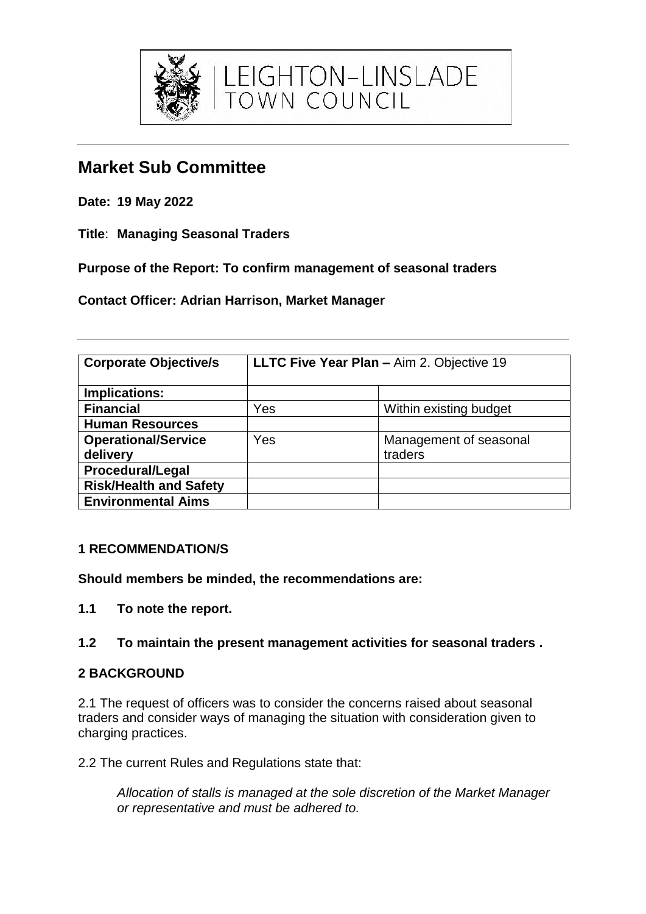

**Date: 19 May 2022**

**Title**: **Managing Seasonal Traders**

**Purpose of the Report: To confirm management of seasonal traders**

**Contact Officer: Adrian Harrison, Market Manager**

| <b>Corporate Objective/s</b>  | LLTC Five Year Plan - Aim 2. Objective 19 |                        |
|-------------------------------|-------------------------------------------|------------------------|
| Implications:                 |                                           |                        |
| <b>Financial</b>              | Yes                                       | Within existing budget |
| <b>Human Resources</b>        |                                           |                        |
| <b>Operational/Service</b>    | Yes                                       | Management of seasonal |
| delivery                      |                                           | traders                |
| <b>Procedural/Legal</b>       |                                           |                        |
| <b>Risk/Health and Safety</b> |                                           |                        |
| <b>Environmental Aims</b>     |                                           |                        |

EIGHTON-LINSLADE<br>OWN COUNCIL

# **1 RECOMMENDATION/S**

**Should members be minded, the recommendations are:**

**1.1 To note the report.**

# **1.2 To maintain the present management activities for seasonal traders .**

# **2 BACKGROUND**

2.1 The request of officers was to consider the concerns raised about seasonal traders and consider ways of managing the situation with consideration given to charging practices.

2.2 The current Rules and Regulations state that:

*Allocation of stalls is managed at the sole discretion of the Market Manager or representative and must be adhered to.*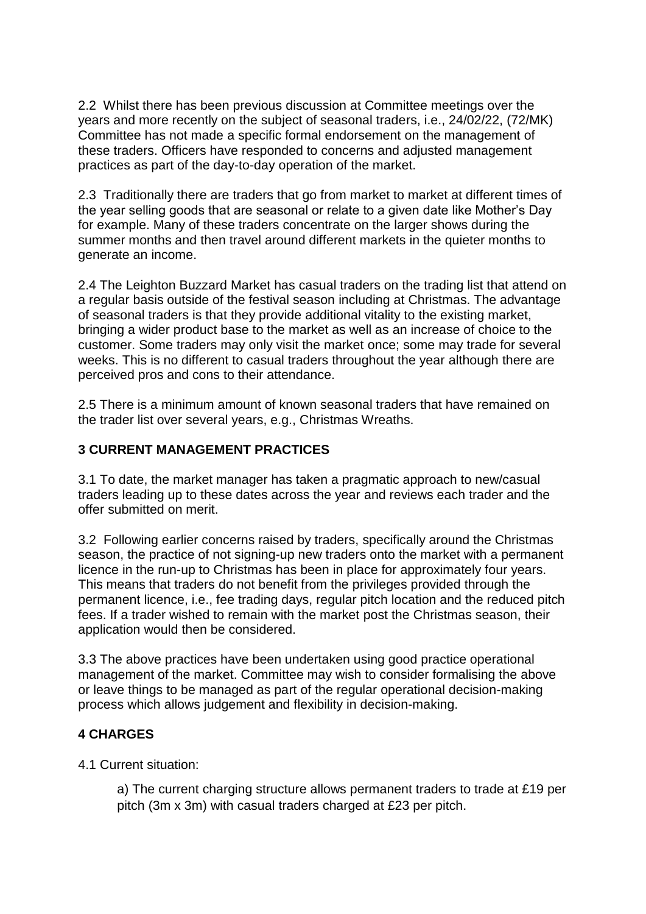2.2 Whilst there has been previous discussion at Committee meetings over the years and more recently on the subject of seasonal traders, i.e., 24/02/22, (72/MK) Committee has not made a specific formal endorsement on the management of these traders. Officers have responded to concerns and adjusted management practices as part of the day-to-day operation of the market.

2.3 Traditionally there are traders that go from market to market at different times of the year selling goods that are seasonal or relate to a given date like Mother's Day for example. Many of these traders concentrate on the larger shows during the summer months and then travel around different markets in the quieter months to generate an income.

2.4 The Leighton Buzzard Market has casual traders on the trading list that attend on a regular basis outside of the festival season including at Christmas. The advantage of seasonal traders is that they provide additional vitality to the existing market, bringing a wider product base to the market as well as an increase of choice to the customer. Some traders may only visit the market once; some may trade for several weeks. This is no different to casual traders throughout the year although there are perceived pros and cons to their attendance.

2.5 There is a minimum amount of known seasonal traders that have remained on the trader list over several years, e.g., Christmas Wreaths.

## **3 CURRENT MANAGEMENT PRACTICES**

3.1 To date, the market manager has taken a pragmatic approach to new/casual traders leading up to these dates across the year and reviews each trader and the offer submitted on merit.

3.2 Following earlier concerns raised by traders, specifically around the Christmas season, the practice of not signing-up new traders onto the market with a permanent licence in the run-up to Christmas has been in place for approximately four years. This means that traders do not benefit from the privileges provided through the permanent licence, i.e., fee trading days, regular pitch location and the reduced pitch fees. If a trader wished to remain with the market post the Christmas season, their application would then be considered.

3.3 The above practices have been undertaken using good practice operational management of the market. Committee may wish to consider formalising the above or leave things to be managed as part of the regular operational decision-making process which allows judgement and flexibility in decision-making.

### **4 CHARGES**

4.1 Current situation:

a) The current charging structure allows permanent traders to trade at £19 per pitch (3m x 3m) with casual traders charged at £23 per pitch.